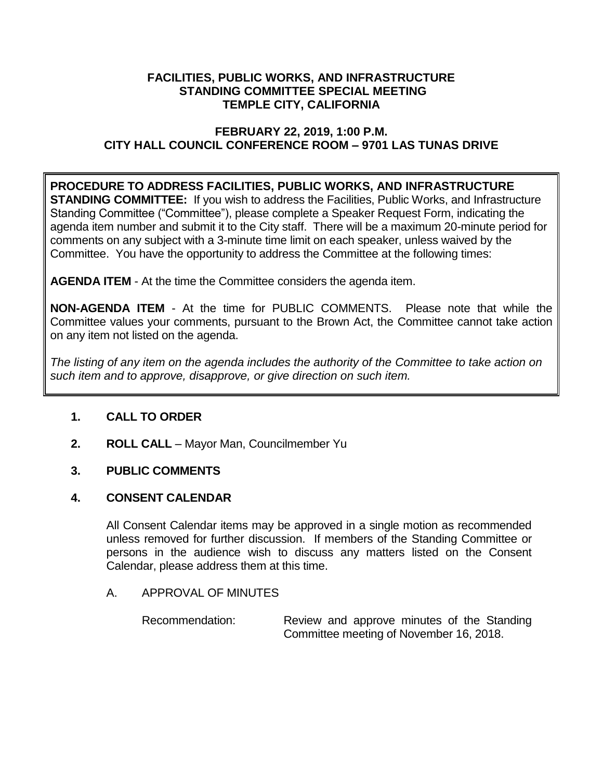### **FACILITIES, PUBLIC WORKS, AND INFRASTRUCTURE STANDING COMMITTEE SPECIAL MEETING TEMPLE CITY, CALIFORNIA**

## **FEBRUARY 22, 2019, 1:00 P.M. CITY HALL COUNCIL CONFERENCE ROOM – 9701 LAS TUNAS DRIVE**

# **PROCEDURE TO ADDRESS FACILITIES, PUBLIC WORKS, AND INFRASTRUCTURE**

**STANDING COMMITTEE:** If you wish to address the Facilities, Public Works, and Infrastructure Standing Committee ("Committee"), please complete a Speaker Request Form, indicating the agenda item number and submit it to the City staff. There will be a maximum 20-minute period for comments on any subject with a 3-minute time limit on each speaker, unless waived by the Committee. You have the opportunity to address the Committee at the following times:

**AGENDA ITEM** - At the time the Committee considers the agenda item.

**NON-AGENDA ITEM** - At the time for PUBLIC COMMENTS. Please note that while the Committee values your comments, pursuant to the Brown Act, the Committee cannot take action on any item not listed on the agenda.

*The listing of any item on the agenda includes the authority of the Committee to take action on such item and to approve, disapprove, or give direction on such item.*

# **1. CALL TO ORDER**

**2. ROLL CALL** – Mayor Man, Councilmember Yu

# **3. PUBLIC COMMENTS**

### **4. CONSENT CALENDAR**

All Consent Calendar items may be approved in a single motion as recommended unless removed for further discussion. If members of the Standing Committee or persons in the audience wish to discuss any matters listed on the Consent Calendar, please address them at this time.

### A. APPROVAL OF MINUTES

Recommendation: Review and approve minutes of the Standing Committee meeting of November 16, 2018.